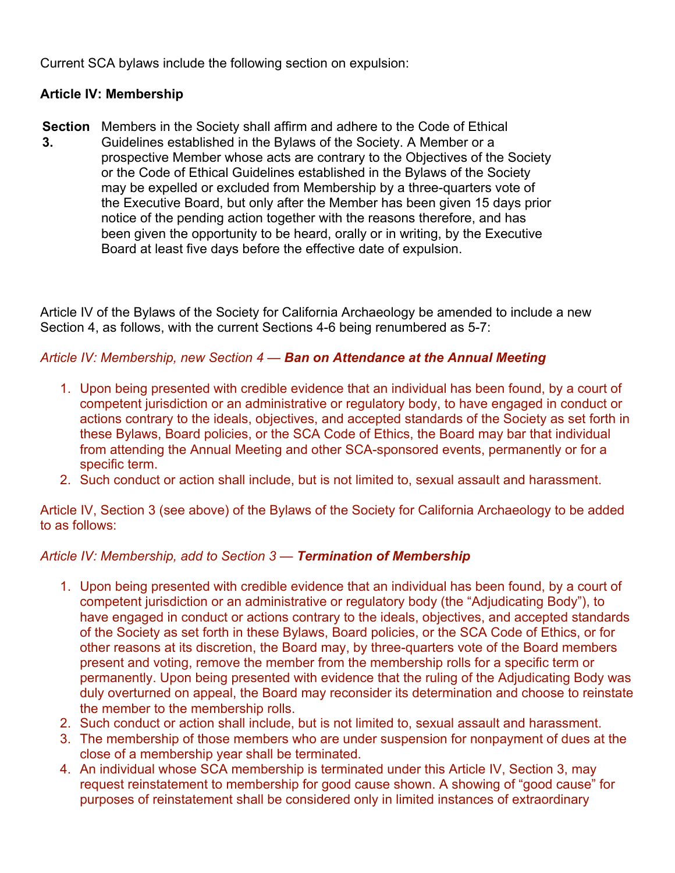Current SCA bylaws include the following section on expulsion:

## **Article IV: Membership**

**Section**  Members in the Society shall affirm and adhere to the Code of Ethical **3.** Guidelines established in the Bylaws of the Society. A Member or a prospective Member whose acts are contrary to the Objectives of the Society or the Code of Ethical Guidelines established in the Bylaws of the Society may be expelled or excluded from Membership by a three-quarters vote of the Executive Board, but only after the Member has been given 15 days prior notice of the pending action together with the reasons therefore, and has been given the opportunity to be heard, orally or in writing, by the Executive Board at least five days before the effective date of expulsion.

Article IV of the Bylaws of the Society for California Archaeology be amended to include a new Section 4, as follows, with the current Sections 4-6 being renumbered as 5-7:

## *Article IV: Membership, new Section 4 — Ban on Attendance at the Annual Meeting*

- 1. Upon being presented with credible evidence that an individual has been found, by a court of competent jurisdiction or an administrative or regulatory body, to have engaged in conduct or actions contrary to the ideals, objectives, and accepted standards of the Society as set forth in these Bylaws, Board policies, or the SCA Code of Ethics, the Board may bar that individual from attending the Annual Meeting and other SCA-sponsored events, permanently or for a specific term.
- 2. Such conduct or action shall include, but is not limited to, sexual assault and harassment.

Article IV, Section 3 (see above) of the Bylaws of the Society for California Archaeology to be added to as follows:

## *Article IV: Membership, add to Section 3 — Termination of Membership*

- 1. Upon being presented with credible evidence that an individual has been found, by a court of competent jurisdiction or an administrative or regulatory body (the "Adjudicating Body"), to have engaged in conduct or actions contrary to the ideals, objectives, and accepted standards of the Society as set forth in these Bylaws, Board policies, or the SCA Code of Ethics, or for other reasons at its discretion, the Board may, by three-quarters vote of the Board members present and voting, remove the member from the membership rolls for a specific term or permanently. Upon being presented with evidence that the ruling of the Adjudicating Body was duly overturned on appeal, the Board may reconsider its determination and choose to reinstate the member to the membership rolls.
- 2. Such conduct or action shall include, but is not limited to, sexual assault and harassment.
- 3. The membership of those members who are under suspension for nonpayment of dues at the close of a membership year shall be terminated.
- 4. An individual whose SCA membership is terminated under this Article IV, Section 3, may request reinstatement to membership for good cause shown. A showing of "good cause" for purposes of reinstatement shall be considered only in limited instances of extraordinary